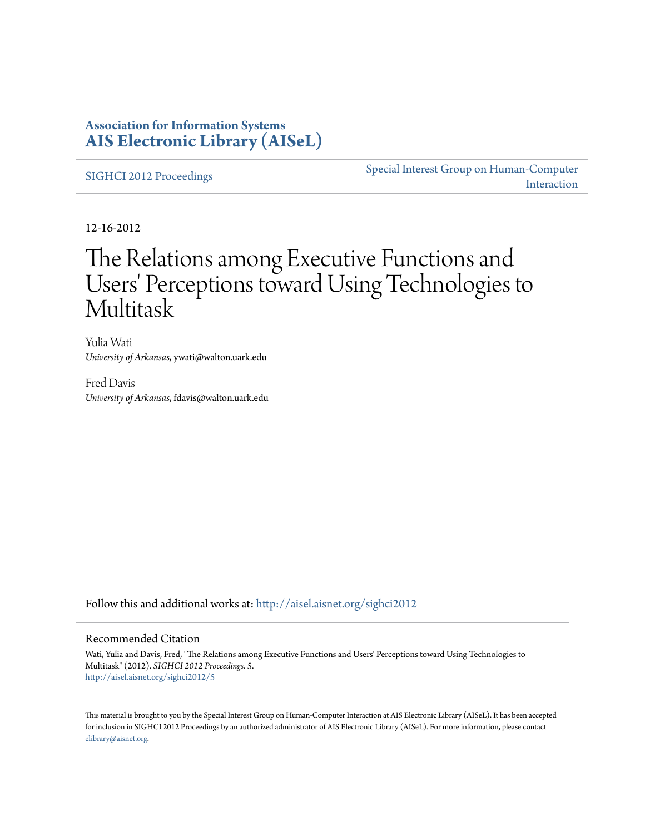## **Association for Information Systems [AIS Electronic Library \(AISeL\)](http://aisel.aisnet.org?utm_source=aisel.aisnet.org%2Fsighci2012%2F5&utm_medium=PDF&utm_campaign=PDFCoverPages)**

[SIGHCI 2012 Proceedings](http://aisel.aisnet.org/sighci2012?utm_source=aisel.aisnet.org%2Fsighci2012%2F5&utm_medium=PDF&utm_campaign=PDFCoverPages)

[Special Interest Group on Human-Computer](http://aisel.aisnet.org/sighci?utm_source=aisel.aisnet.org%2Fsighci2012%2F5&utm_medium=PDF&utm_campaign=PDFCoverPages) [Interaction](http://aisel.aisnet.org/sighci?utm_source=aisel.aisnet.org%2Fsighci2012%2F5&utm_medium=PDF&utm_campaign=PDFCoverPages)

12-16-2012

# The Relations among Executive Functions and Users' Perceptions toward Using Technologies to Multitask

Yulia Wati *University of Arkansas*, ywati@walton.uark.edu

Fred Davis *University of Arkansas*, fdavis@walton.uark.edu

Follow this and additional works at: [http://aisel.aisnet.org/sighci2012](http://aisel.aisnet.org/sighci2012?utm_source=aisel.aisnet.org%2Fsighci2012%2F5&utm_medium=PDF&utm_campaign=PDFCoverPages)

## Recommended Citation

Wati, Yulia and Davis, Fred, "The Relations among Executive Functions and Users' Perceptions toward Using Technologies to Multitask" (2012). *SIGHCI 2012 Proceedings*. 5. [http://aisel.aisnet.org/sighci2012/5](http://aisel.aisnet.org/sighci2012/5?utm_source=aisel.aisnet.org%2Fsighci2012%2F5&utm_medium=PDF&utm_campaign=PDFCoverPages)

This material is brought to you by the Special Interest Group on Human-Computer Interaction at AIS Electronic Library (AISeL). It has been accepted for inclusion in SIGHCI 2012 Proceedings by an authorized administrator of AIS Electronic Library (AISeL). For more information, please contact [elibrary@aisnet.org.](mailto:elibrary@aisnet.org%3E)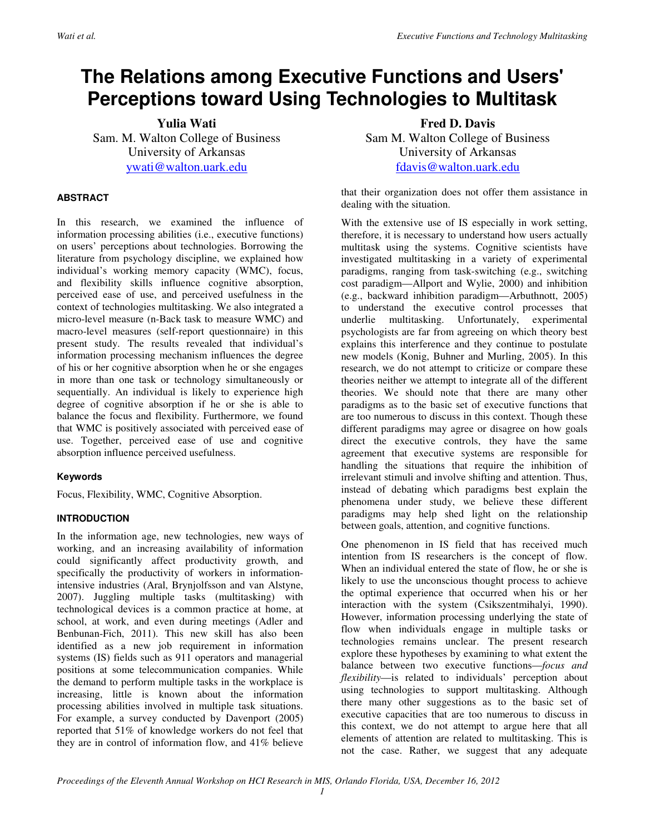## **The Relations among Executive Functions and Users' Perceptions toward Using Technologies to Multitask**

**Yulia Wati** 

Sam. M. Walton College of Business University of Arkansas ywati@walton.uark.edu

## **ABSTRACT**

In this research, we examined the influence of information processing abilities (i.e., executive functions) on users' perceptions about technologies. Borrowing the literature from psychology discipline, we explained how individual's working memory capacity (WMC), focus, and flexibility skills influence cognitive absorption, perceived ease of use, and perceived usefulness in the context of technologies multitasking. We also integrated a micro-level measure (n-Back task to measure WMC) and macro-level measures (self-report questionnaire) in this present study. The results revealed that individual's information processing mechanism influences the degree of his or her cognitive absorption when he or she engages in more than one task or technology simultaneously or sequentially. An individual is likely to experience high degree of cognitive absorption if he or she is able to balance the focus and flexibility. Furthermore, we found that WMC is positively associated with perceived ease of use. Together, perceived ease of use and cognitive absorption influence perceived usefulness.

## **Keywords**

Focus, Flexibility, WMC, Cognitive Absorption.

## **INTRODUCTION**

In the information age, new technologies, new ways of working, and an increasing availability of information could significantly affect productivity growth, and specifically the productivity of workers in informationintensive industries (Aral, Brynjolfsson and van Alstyne, 2007). Juggling multiple tasks (multitasking) with technological devices is a common practice at home, at school, at work, and even during meetings (Adler and Benbunan-Fich, 2011). This new skill has also been identified as a new job requirement in information systems (IS) fields such as 911 operators and managerial positions at some telecommunication companies. While the demand to perform multiple tasks in the workplace is increasing, little is known about the information processing abilities involved in multiple task situations. For example, a survey conducted by Davenport (2005) reported that 51% of knowledge workers do not feel that they are in control of information flow, and 41% believe

**Fred D. Davis**  Sam M. Walton College of Business University of Arkansas fdavis@walton.uark.edu

that their organization does not offer them assistance in dealing with the situation.

With the extensive use of IS especially in work setting, therefore, it is necessary to understand how users actually multitask using the systems. Cognitive scientists have investigated multitasking in a variety of experimental paradigms, ranging from task-switching (e.g., switching cost paradigm—Allport and Wylie, 2000) and inhibition (e.g., backward inhibition paradigm—Arbuthnott, 2005) to understand the executive control processes that underlie multitasking. Unfortunately, experimental psychologists are far from agreeing on which theory best explains this interference and they continue to postulate new models (Konig, Buhner and Murling, 2005). In this research, we do not attempt to criticize or compare these theories neither we attempt to integrate all of the different theories. We should note that there are many other paradigms as to the basic set of executive functions that are too numerous to discuss in this context. Though these different paradigms may agree or disagree on how goals direct the executive controls, they have the same agreement that executive systems are responsible for handling the situations that require the inhibition of irrelevant stimuli and involve shifting and attention. Thus, instead of debating which paradigms best explain the phenomena under study, we believe these different paradigms may help shed light on the relationship between goals, attention, and cognitive functions.

One phenomenon in IS field that has received much intention from IS researchers is the concept of flow. When an individual entered the state of flow, he or she is likely to use the unconscious thought process to achieve the optimal experience that occurred when his or her interaction with the system (Csikszentmihalyi, 1990). However, information processing underlying the state of flow when individuals engage in multiple tasks or technologies remains unclear. The present research explore these hypotheses by examining to what extent the balance between two executive functions—*focus and flexibility*—is related to individuals' perception about using technologies to support multitasking. Although there many other suggestions as to the basic set of executive capacities that are too numerous to discuss in this context, we do not attempt to argue here that all elements of attention are related to multitasking. This is not the case. Rather, we suggest that any adequate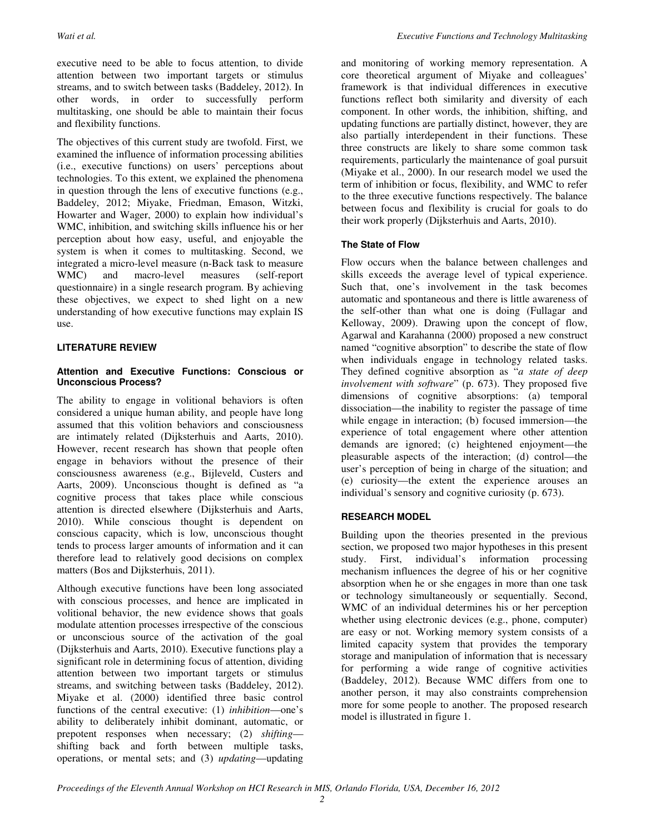executive need to be able to focus attention, to divide attention between two important targets or stimulus streams, and to switch between tasks (Baddeley, 2012). In other words, in order to successfully perform multitasking, one should be able to maintain their focus and flexibility functions.

The objectives of this current study are twofold. First, we examined the influence of information processing abilities (i.e., executive functions) on users' perceptions about technologies. To this extent, we explained the phenomena in question through the lens of executive functions (e.g., Baddeley, 2012; Miyake, Friedman, Emason, Witzki, Howarter and Wager, 2000) to explain how individual's WMC, inhibition, and switching skills influence his or her perception about how easy, useful, and enjoyable the system is when it comes to multitasking. Second, we integrated a micro-level measure (n-Back task to measure WMC) and macro-level measures (self-report questionnaire) in a single research program. By achieving these objectives, we expect to shed light on a new understanding of how executive functions may explain IS use.

## **LITERATURE REVIEW**

#### **Attention and Executive Functions: Conscious or Unconscious Process?**

The ability to engage in volitional behaviors is often considered a unique human ability, and people have long assumed that this volition behaviors and consciousness are intimately related (Dijksterhuis and Aarts, 2010). However, recent research has shown that people often engage in behaviors without the presence of their consciousness awareness (e.g., Bijleveld, Custers and Aarts, 2009). Unconscious thought is defined as "a cognitive process that takes place while conscious attention is directed elsewhere (Dijksterhuis and Aarts, 2010). While conscious thought is dependent on conscious capacity, which is low, unconscious thought tends to process larger amounts of information and it can therefore lead to relatively good decisions on complex matters (Bos and Dijksterhuis, 2011).

Although executive functions have been long associated with conscious processes, and hence are implicated in volitional behavior, the new evidence shows that goals modulate attention processes irrespective of the conscious or unconscious source of the activation of the goal (Dijksterhuis and Aarts, 2010). Executive functions play a significant role in determining focus of attention, dividing attention between two important targets or stimulus streams, and switching between tasks (Baddeley, 2012). Miyake et al. (2000) identified three basic control functions of the central executive: (1) *inhibition*—one's ability to deliberately inhibit dominant, automatic, or prepotent responses when necessary; (2) *shifting* shifting back and forth between multiple tasks, operations, or mental sets; and (3) *updating*—updating

and monitoring of working memory representation. A core theoretical argument of Miyake and colleagues' framework is that individual differences in executive functions reflect both similarity and diversity of each component. In other words, the inhibition, shifting, and updating functions are partially distinct, however, they are also partially interdependent in their functions. These three constructs are likely to share some common task requirements, particularly the maintenance of goal pursuit (Miyake et al., 2000). In our research model we used the term of inhibition or focus, flexibility, and WMC to refer to the three executive functions respectively. The balance between focus and flexibility is crucial for goals to do their work properly (Dijksterhuis and Aarts, 2010).

#### **The State of Flow**

Flow occurs when the balance between challenges and skills exceeds the average level of typical experience. Such that, one's involvement in the task becomes automatic and spontaneous and there is little awareness of the self-other than what one is doing (Fullagar and Kelloway, 2009). Drawing upon the concept of flow, Agarwal and Karahanna (2000) proposed a new construct named "cognitive absorption" to describe the state of flow when individuals engage in technology related tasks. They defined cognitive absorption as "*a state of deep involvement with software*" (p. 673). They proposed five dimensions of cognitive absorptions: (a) temporal dissociation—the inability to register the passage of time while engage in interaction; (b) focused immersion—the experience of total engagement where other attention demands are ignored; (c) heightened enjoyment—the pleasurable aspects of the interaction; (d) control—the user's perception of being in charge of the situation; and (e) curiosity—the extent the experience arouses an individual's sensory and cognitive curiosity (p. 673).

## **RESEARCH MODEL**

Building upon the theories presented in the previous section, we proposed two major hypotheses in this present study. First, individual's information processing mechanism influences the degree of his or her cognitive absorption when he or she engages in more than one task or technology simultaneously or sequentially. Second, WMC of an individual determines his or her perception whether using electronic devices (e.g., phone, computer) are easy or not. Working memory system consists of a limited capacity system that provides the temporary storage and manipulation of information that is necessary for performing a wide range of cognitive activities (Baddeley, 2012). Because WMC differs from one to another person, it may also constraints comprehension more for some people to another. The proposed research model is illustrated in figure 1.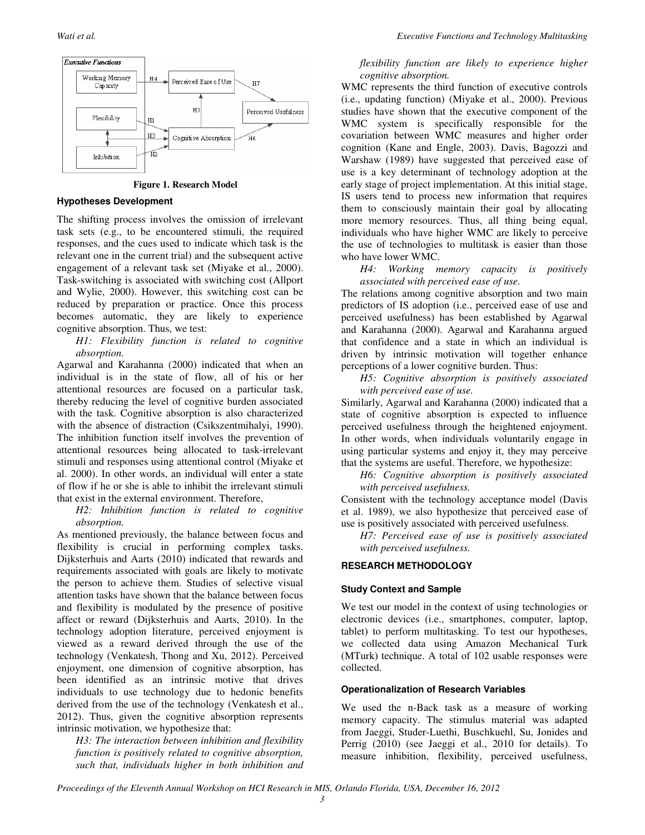

**Figure 1. Research Model** 

#### **Hypotheses Development**

The shifting process involves the omission of irrelevant task sets (e.g., to be encountered stimuli, the required responses, and the cues used to indicate which task is the relevant one in the current trial) and the subsequent active engagement of a relevant task set (Miyake et al., 2000). Task-switching is associated with switching cost (Allport and Wylie, 2000). However, this switching cost can be reduced by preparation or practice. Once this process becomes automatic, they are likely to experience cognitive absorption. Thus, we test:

*H1: Flexibility function is related to cognitive absorption.* 

Agarwal and Karahanna (2000) indicated that when an individual is in the state of flow, all of his or her attentional resources are focused on a particular task, thereby reducing the level of cognitive burden associated with the task. Cognitive absorption is also characterized with the absence of distraction (Csikszentmihalyi, 1990). The inhibition function itself involves the prevention of attentional resources being allocated to task-irrelevant stimuli and responses using attentional control (Miyake et al. 2000). In other words, an individual will enter a state of flow if he or she is able to inhibit the irrelevant stimuli that exist in the external environment. Therefore,

*H2: Inhibition function is related to cognitive absorption.* 

As mentioned previously, the balance between focus and flexibility is crucial in performing complex tasks. Dijksterhuis and Aarts (2010) indicated that rewards and requirements associated with goals are likely to motivate the person to achieve them. Studies of selective visual attention tasks have shown that the balance between focus and flexibility is modulated by the presence of positive affect or reward (Dijksterhuis and Aarts, 2010). In the technology adoption literature, perceived enjoyment is viewed as a reward derived through the use of the technology (Venkatesh, Thong and Xu, 2012). Perceived enjoyment, one dimension of cognitive absorption, has been identified as an intrinsic motive that drives individuals to use technology due to hedonic benefits derived from the use of the technology (Venkatesh et al., 2012). Thus, given the cognitive absorption represents intrinsic motivation, we hypothesize that:

*H3: The interaction between inhibition and flexibility function is positively related to cognitive absorption, such that, individuals higher in both inhibition and* 

#### *flexibility function are likely to experience higher cognitive absorption.*

WMC represents the third function of executive controls (i.e., updating function) (Miyake et al., 2000). Previous studies have shown that the executive component of the WMC system is specifically responsible for the covariation between WMC measures and higher order cognition (Kane and Engle, 2003). Davis, Bagozzi and Warshaw (1989) have suggested that perceived ease of use is a key determinant of technology adoption at the early stage of project implementation. At this initial stage, IS users tend to process new information that requires them to consciously maintain their goal by allocating more memory resources. Thus, all thing being equal, individuals who have higher WMC are likely to perceive the use of technologies to multitask is easier than those who have lower WMC.

*H4: Working memory capacity is positively associated with perceived ease of use.* 

The relations among cognitive absorption and two main predictors of IS adoption (i.e., perceived ease of use and perceived usefulness) has been established by Agarwal and Karahanna (2000). Agarwal and Karahanna argued that confidence and a state in which an individual is driven by intrinsic motivation will together enhance perceptions of a lower cognitive burden. Thus:

*H5: Cognitive absorption is positively associated with perceived ease of use.* 

Similarly, Agarwal and Karahanna (2000) indicated that a state of cognitive absorption is expected to influence perceived usefulness through the heightened enjoyment. In other words, when individuals voluntarily engage in using particular systems and enjoy it, they may perceive that the systems are useful. Therefore, we hypothesize:

*H6: Cognitive absorption is positively associated with perceived usefulness.* 

Consistent with the technology acceptance model (Davis et al. 1989), we also hypothesize that perceived ease of use is positively associated with perceived usefulness.

*H7: Perceived ease of use is positively associated with perceived usefulness.* 

#### **RESEARCH METHODOLOGY**

#### **Study Context and Sample**

We test our model in the context of using technologies or electronic devices (i.e., smartphones, computer, laptop, tablet) to perform multitasking. To test our hypotheses, we collected data using Amazon Mechanical Turk (MTurk) technique. A total of 102 usable responses were collected.

#### **Operationalization of Research Variables**

We used the n-Back task as a measure of working memory capacity. The stimulus material was adapted from Jaeggi, Studer-Luethi, Buschkuehl, Su, Jonides and Perrig (2010) (see Jaeggi et al., 2010 for details). To measure inhibition, flexibility, perceived usefulness,

*Proceedings of the Eleventh Annual Workshop on HCI Research in MIS, Orlando Florida, USA, December 16, 2012*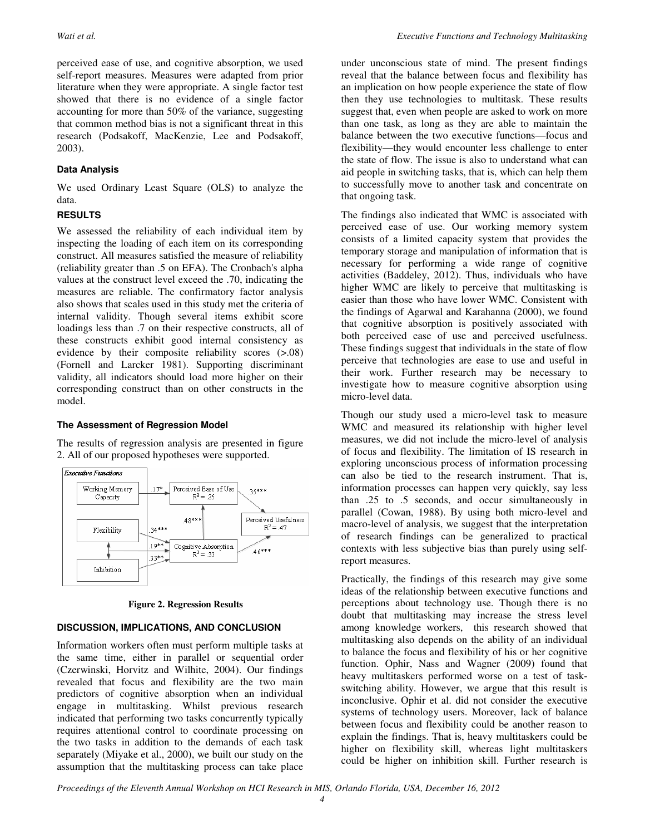perceived ease of use, and cognitive absorption, we used self-report measures. Measures were adapted from prior literature when they were appropriate. A single factor test showed that there is no evidence of a single factor accounting for more than 50% of the variance, suggesting that common method bias is not a significant threat in this research (Podsakoff, MacKenzie, Lee and Podsakoff, 2003).

## **Data Analysis**

We used Ordinary Least Square (OLS) to analyze the data.

## **RESULTS**

We assessed the reliability of each individual item by inspecting the loading of each item on its corresponding construct. All measures satisfied the measure of reliability (reliability greater than .5 on EFA). The Cronbach's alpha values at the construct level exceed the .70, indicating the measures are reliable. The confirmatory factor analysis also shows that scales used in this study met the criteria of internal validity. Though several items exhibit score loadings less than .7 on their respective constructs, all of these constructs exhibit good internal consistency as evidence by their composite reliability scores (>.08) (Fornell and Larcker 1981). Supporting discriminant validity, all indicators should load more higher on their corresponding construct than on other constructs in the model.

## **The Assessment of Regression Model**

The results of regression analysis are presented in figure 2. All of our proposed hypotheses were supported.



**Figure 2. Regression Results** 

## **DISCUSSION, IMPLICATIONS, AND CONCLUSION**

Information workers often must perform multiple tasks at the same time, either in parallel or sequential order (Czerwinski, Horvitz and Wilhite, 2004). Our findings revealed that focus and flexibility are the two main predictors of cognitive absorption when an individual engage in multitasking. Whilst previous research indicated that performing two tasks concurrently typically requires attentional control to coordinate processing on the two tasks in addition to the demands of each task separately (Miyake et al., 2000), we built our study on the assumption that the multitasking process can take place under unconscious state of mind. The present findings reveal that the balance between focus and flexibility has an implication on how people experience the state of flow then they use technologies to multitask. These results suggest that, even when people are asked to work on more than one task, as long as they are able to maintain the balance between the two executive functions—focus and flexibility—they would encounter less challenge to enter the state of flow. The issue is also to understand what can aid people in switching tasks, that is, which can help them to successfully move to another task and concentrate on that ongoing task.

The findings also indicated that WMC is associated with perceived ease of use. Our working memory system consists of a limited capacity system that provides the temporary storage and manipulation of information that is necessary for performing a wide range of cognitive activities (Baddeley, 2012). Thus, individuals who have higher WMC are likely to perceive that multitasking is easier than those who have lower WMC. Consistent with the findings of Agarwal and Karahanna (2000), we found that cognitive absorption is positively associated with both perceived ease of use and perceived usefulness. These findings suggest that individuals in the state of flow perceive that technologies are ease to use and useful in their work. Further research may be necessary to investigate how to measure cognitive absorption using micro-level data.

Though our study used a micro-level task to measure WMC and measured its relationship with higher level measures, we did not include the micro-level of analysis of focus and flexibility. The limitation of IS research in exploring unconscious process of information processing can also be tied to the research instrument. That is, information processes can happen very quickly, say less than .25 to .5 seconds, and occur simultaneously in parallel (Cowan, 1988). By using both micro-level and macro-level of analysis, we suggest that the interpretation of research findings can be generalized to practical contexts with less subjective bias than purely using selfreport measures.

Practically, the findings of this research may give some ideas of the relationship between executive functions and perceptions about technology use. Though there is no doubt that multitasking may increase the stress level among knowledge workers, this research showed that multitasking also depends on the ability of an individual to balance the focus and flexibility of his or her cognitive function. Ophir, Nass and Wagner (2009) found that heavy multitaskers performed worse on a test of taskswitching ability. However, we argue that this result is inconclusive. Ophir et al. did not consider the executive systems of technology users. Moreover, lack of balance between focus and flexibility could be another reason to explain the findings. That is, heavy multitaskers could be higher on flexibility skill, whereas light multitaskers could be higher on inhibition skill. Further research is

*Proceedings of the Eleventh Annual Workshop on HCI Research in MIS, Orlando Florida, USA, December 16, 2012*